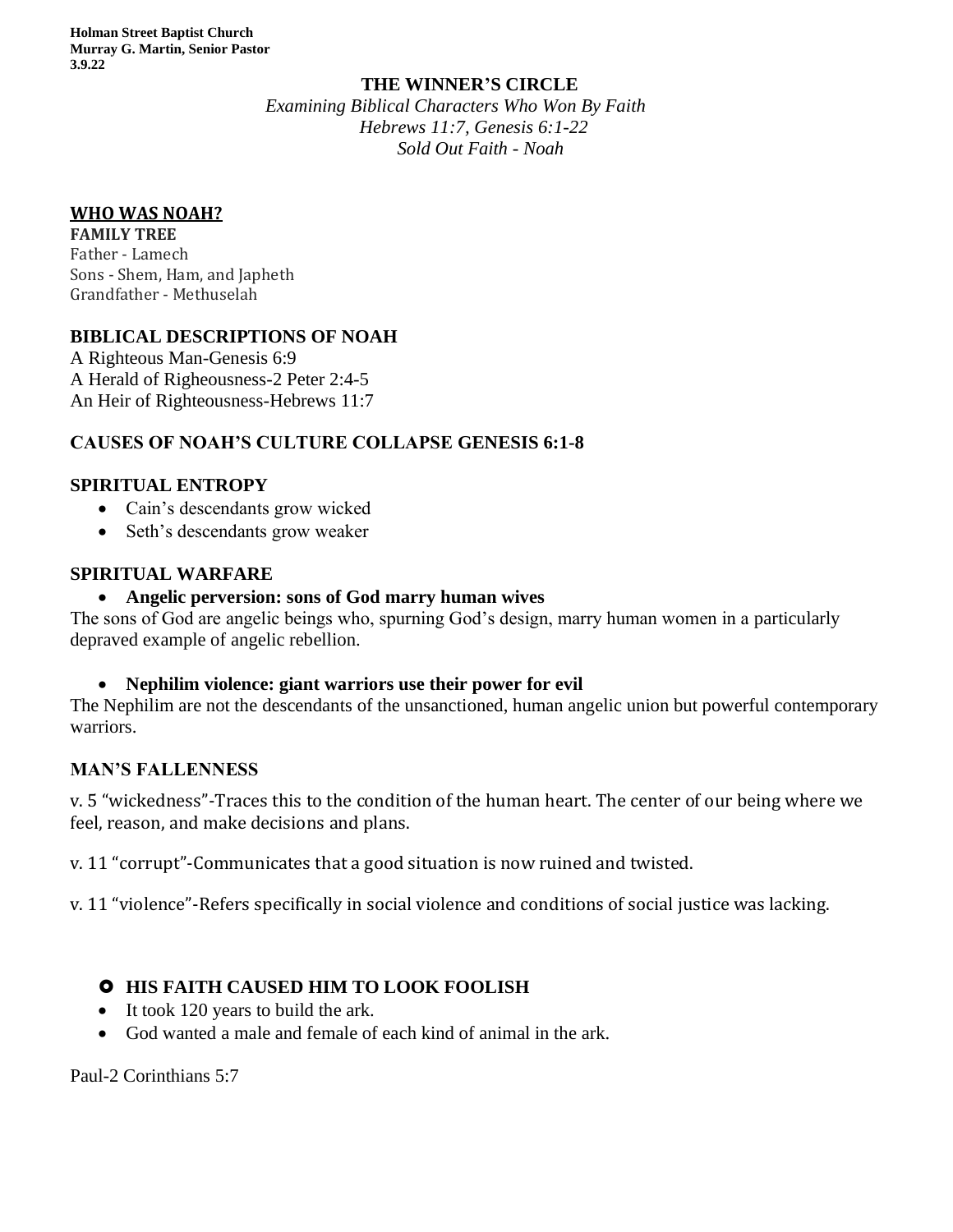#### **THE WINNER'S CIRCLE**

*Examining Biblical Characters Who Won By Faith Hebrews 11:7, Genesis 6:1-22 Sold Out Faith - Noah*

### **WHO WAS NOAH?**

**FAMILY TREE** Father - Lamech Sons - [Shem, Ham, and Japheth](https://www.thoughtco.com/sons-of-noah-701191) Grandfather - Methuselah

## **BIBLICAL DESCRIPTIONS OF NOAH**

A Righteous Man-Genesis 6:9 A Herald of Righeousness-2 Peter 2:4-5 An Heir of Righteousness-Hebrews 11:7

# **CAUSES OF NOAH'S CULTURE COLLAPSE GENESIS 6:1-8**

### **SPIRITUAL ENTROPY**

- Cain's descendants grow wicked
- Seth's descendants grow weaker

### **SPIRITUAL WARFARE**

### • **Angelic perversion: sons of God marry human wives**

The sons of God are angelic beings who, spurning God's design, marry human women in a particularly depraved example of angelic rebellion.

#### • **Nephilim violence: giant warriors use their power for evil**

The Nephilim are not the descendants of the unsanctioned, human angelic union but powerful contemporary warriors.

## **MAN'S FALLENNESS**

v. 5 "wickedness"-Traces this to the condition of the human heart. The center of our being where we feel, reason, and make decisions and plans.

v. 11 "corrupt"-Communicates that a good situation is now ruined and twisted.

v. 11 "violence"-Refers specifically in social violence and conditions of social justice was lacking.

# **O** HIS FAITH CAUSED HIM TO LOOK FOOLISH

- It took 120 years to build the ark.
- God wanted a male and female of each kind of animal in the ark.

Paul-2 Corinthians 5:7